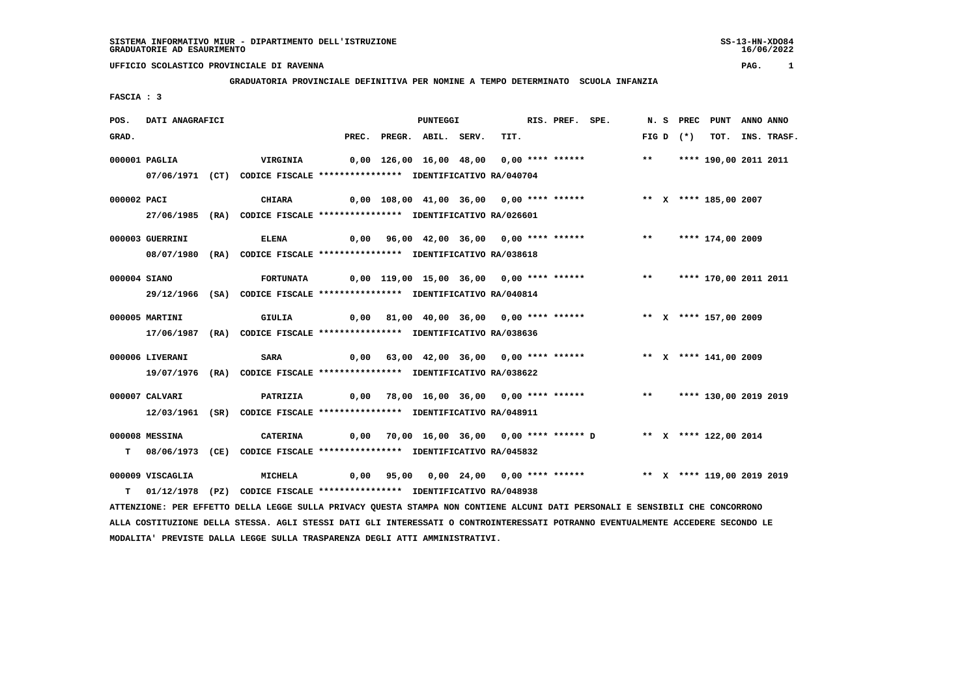## **UFFICIO SCOLASTICO PROVINCIALE DI RAVENNA PAG. 1**

 **GRADUATORIA PROVINCIALE DEFINITIVA PER NOMINE A TEMPO DETERMINATO SCUOLA INFANZIA**

 **FASCIA : 3**

| POS.         | DATI ANAGRAFICI                                                                                                               |  |                                                                                                                                 | <b>PUNTEGGI</b> |                                          |                    |  |      |  | RIS. PREF. SPE. |                                                                         |       |  |            | N. S PREC PUNT ANNO ANNO |                  |
|--------------|-------------------------------------------------------------------------------------------------------------------------------|--|---------------------------------------------------------------------------------------------------------------------------------|-----------------|------------------------------------------|--------------------|--|------|--|-----------------|-------------------------------------------------------------------------|-------|--|------------|--------------------------|------------------|
| GRAD.        |                                                                                                                               |  |                                                                                                                                 | PREC.           |                                          | PREGR. ABIL. SERV. |  | TIT. |  |                 |                                                                         |       |  | $FIGD (*)$ |                          | TOT. INS. TRASF. |
|              | 000001 PAGLIA                                                                                                                 |  | VIRGINIA                                                                                                                        |                 | 0,00 126,00 16,00 48,00 0,00 **** ****** |                    |  |      |  |                 |                                                                         | $***$ |  |            | **** 190,00 2011 2011    |                  |
|              |                                                                                                                               |  | 07/06/1971 (CT) CODICE FISCALE *************** IDENTIFICATIVO RA/040704                                                         |                 |                                          |                    |  |      |  |                 |                                                                         |       |  |            |                          |                  |
|              |                                                                                                                               |  |                                                                                                                                 |                 |                                          |                    |  |      |  |                 |                                                                         |       |  |            |                          |                  |
| 000002 PACI  |                                                                                                                               |  | CHIARA                                                                                                                          |                 | 0,00 108,00 41,00 36,00 0,00 **** ****** |                    |  |      |  |                 |                                                                         |       |  |            | ** X **** 185,00 2007    |                  |
|              |                                                                                                                               |  | 27/06/1985 (RA) CODICE FISCALE *************** IDENTIFICATIVO RA/026601                                                         |                 |                                          |                    |  |      |  |                 |                                                                         |       |  |            |                          |                  |
|              | 000003 GUERRINI                                                                                                               |  | <b>ELENA</b>                                                                                                                    |                 |                                          |                    |  |      |  |                 | 0,00 96,00 42,00 36,00 0,00 **** ******                                 |       |  |            | ** **** 174,00 2009      |                  |
|              |                                                                                                                               |  | 08/07/1980 (RA) CODICE FISCALE *************** IDENTIFICATIVO RA/038618                                                         |                 |                                          |                    |  |      |  |                 |                                                                         |       |  |            |                          |                  |
|              |                                                                                                                               |  |                                                                                                                                 |                 |                                          |                    |  |      |  |                 |                                                                         |       |  |            |                          |                  |
| 000004 SIANO |                                                                                                                               |  | <b>FORTUNATA</b>                                                                                                                |                 |                                          |                    |  |      |  |                 | 0,00 119,00 15,00 36,00 0,00 **** ****** *** **** **** 170,00 2011 2011 |       |  |            |                          |                  |
|              |                                                                                                                               |  | 29/12/1966 (SA) CODICE FISCALE *************** IDENTIFICATIVO RA/040814                                                         |                 |                                          |                    |  |      |  |                 |                                                                         |       |  |            |                          |                  |
|              | 000005 MARTINI                                                                                                                |  | GIULIA                                                                                                                          |                 |                                          |                    |  |      |  |                 | 0,00 81,00 40,00 36,00 0,00 **** ******                                 |       |  |            | ** X **** 157,00 2009    |                  |
|              |                                                                                                                               |  | 17/06/1987 (RA) CODICE FISCALE *************** IDENTIFICATIVO RA/038636                                                         |                 |                                          |                    |  |      |  |                 |                                                                         |       |  |            |                          |                  |
|              |                                                                                                                               |  |                                                                                                                                 |                 |                                          |                    |  |      |  |                 |                                                                         |       |  |            |                          |                  |
|              | 000006 LIVERANI                                                                                                               |  | <b>SARA</b>                                                                                                                     |                 |                                          |                    |  |      |  |                 | 0,00 63,00 42,00 36,00 0,00 **** ****** **** *** X **** 141,00 2009     |       |  |            |                          |                  |
|              |                                                                                                                               |  | 19/07/1976 (RA) CODICE FISCALE *************** IDENTIFICATIVO RA/038622                                                         |                 |                                          |                    |  |      |  |                 |                                                                         |       |  |            |                          |                  |
|              | 000007 CALVARI                                                                                                                |  | <b>PATRIZIA</b>                                                                                                                 |                 |                                          |                    |  |      |  |                 | 0,00 78,00 16,00 36,00 0,00 **** ******                                 |       |  |            | ** **** 130,00 2019 2019 |                  |
|              |                                                                                                                               |  | 12/03/1961 (SR) CODICE FISCALE *************** IDENTIFICATIVO RA/048911                                                         |                 |                                          |                    |  |      |  |                 |                                                                         |       |  |            |                          |                  |
|              |                                                                                                                               |  |                                                                                                                                 |                 |                                          |                    |  |      |  |                 |                                                                         |       |  |            |                          |                  |
|              | 000008 MESSINA                                                                                                                |  | CATERINA                                                                                                                        |                 |                                          |                    |  |      |  |                 | 0,00 70,00 16,00 36,00 0,00 **** ****** D ** X **** 122,00 2014         |       |  |            |                          |                  |
| т            |                                                                                                                               |  | 08/06/1973 (CE) CODICE FISCALE *************** IDENTIFICATIVO RA/045832                                                         |                 |                                          |                    |  |      |  |                 |                                                                         |       |  |            |                          |                  |
|              | 000009 VISCAGLIA                                                                                                              |  | MICHELA                                                                                                                         |                 |                                          |                    |  |      |  |                 | 0,00 95,00 0,00 24,00 0,00 **** ****** *** ** ** **** 119,00 2019 2019  |       |  |            |                          |                  |
| т            |                                                                                                                               |  | 01/12/1978 (PZ) CODICE FISCALE *************** IDENTIFICATIVO RA/048938                                                         |                 |                                          |                    |  |      |  |                 |                                                                         |       |  |            |                          |                  |
|              | ATTENZIONE: PER EFFETTO DELLA LEGGE SULLA PRIVACY QUESTA STAMPA NON CONTIENE ALCUNI DATI PERSONALI E SENSIBILI CHE CONCORRONO |  |                                                                                                                                 |                 |                                          |                    |  |      |  |                 |                                                                         |       |  |            |                          |                  |
|              |                                                                                                                               |  | ALLA COSTITUZIONE DELLA STESSA. AGLI STESSI DATI GLI INTERESSATI O CONTROINTERESSATI POTRANNO EVENTUALMENTE ACCEDERE SECONDO LE |                 |                                          |                    |  |      |  |                 |                                                                         |       |  |            |                          |                  |

 **MODALITA' PREVISTE DALLA LEGGE SULLA TRASPARENZA DEGLI ATTI AMMINISTRATIVI.**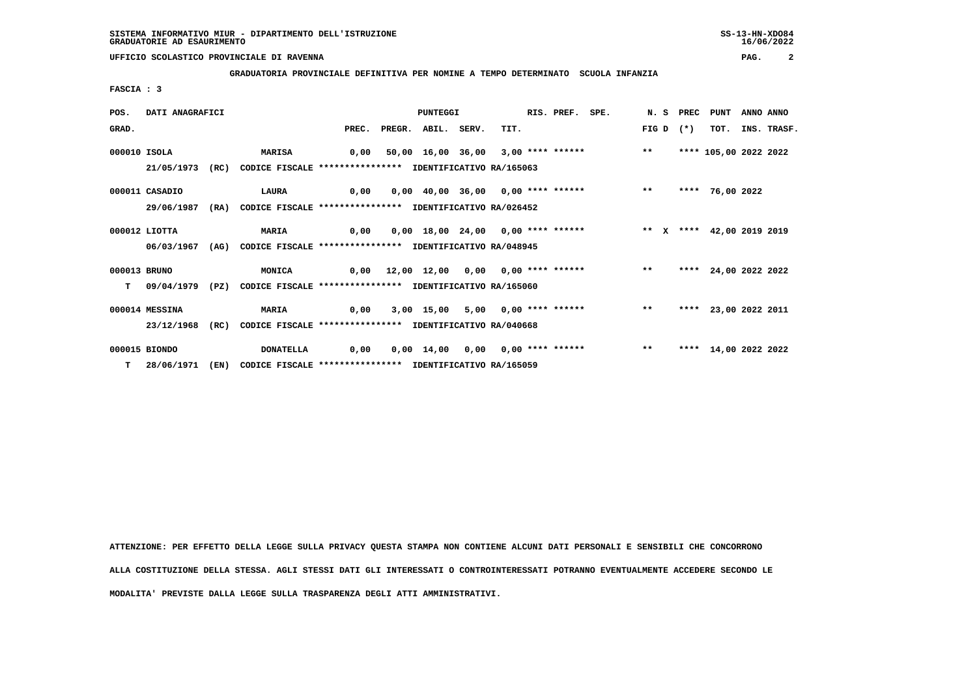**UFFICIO SCOLASTICO PROVINCIALE DI RAVENNA PAG. 2**

 **GRADUATORIA PROVINCIALE DEFINITIVA PER NOMINE A TEMPO DETERMINATO SCUOLA INFANZIA**

 **FASCIA : 3**

| POS.                                                                           | DATI ANAGRAFICI |      |                                                                         | <b>PUNTEGGI</b>   |  |                          |  |                                                                       | RIS. PREF. SPE. | N.S PREC |       | PUNT   | ANNO ANNO             |  |             |
|--------------------------------------------------------------------------------|-----------------|------|-------------------------------------------------------------------------|-------------------|--|--------------------------|--|-----------------------------------------------------------------------|-----------------|----------|-------|--------|-----------------------|--|-------------|
| GRAD.                                                                          |                 |      |                                                                         |                   |  | PREC. PREGR. ABIL. SERV. |  | TIT.                                                                  |                 |          | FIG D | $(* )$ | TOT.                  |  | INS. TRASF. |
| 000010 ISOLA                                                                   |                 |      | <b>MARISA</b>                                                           | 0,00              |  |                          |  | 50,00 16,00 36,00 3,00 **** ****** *** **                             |                 |          |       |        | **** 105,00 2022 2022 |  |             |
|                                                                                | 21/05/1973 (RC) |      | CODICE FISCALE **************** IDENTIFICATIVO RA/165063                |                   |  |                          |  |                                                                       |                 |          |       |        |                       |  |             |
|                                                                                | 000011 CASADIO  |      | LAURA 0,00                                                              |                   |  |                          |  | 0,00 40,00 36,00 0,00 **** ****** *** ** **                           |                 |          |       |        | **** 76,00 2022       |  |             |
| 29/06/1987<br>CODICE FISCALE **************** IDENTIFICATIVO RA/026452<br>(RA) |                 |      |                                                                         |                   |  |                          |  |                                                                       |                 |          |       |        |                       |  |             |
|                                                                                | $000012$ LIOTTA |      |                                                                         | MARIA 0,00        |  |                          |  | 0,00 18,00 24,00 0,00 **** ******           ** x **** 42,00 2019 2019 |                 |          |       |        |                       |  |             |
|                                                                                | 06/03/1967      | (AG) | CODICE FISCALE **************** IDENTIFICATIVO RA/048945                |                   |  |                          |  |                                                                       |                 |          |       |        |                       |  |             |
| 000013 BRUNO                                                                   |                 |      | <b>MONICA</b>                                                           |                   |  |                          |  | 0,00 12,00 12,00 0,00 0,00 **** ****** *** **                         |                 |          |       |        | **** 24,00 2022 2022  |  |             |
| т                                                                              |                 |      | 09/04/1979 (PZ) CODICE FISCALE *************** IDENTIFICATIVO RA/165060 |                   |  |                          |  |                                                                       |                 |          |       |        |                       |  |             |
|                                                                                | 000014 MESSINA  |      | <b>MARIA</b>                                                            | $\overline{0,00}$ |  |                          |  | 3,00 15,00 5,00 0,00 **** ****** *** **                               |                 |          |       |        | **** 23,00 2022 2011  |  |             |
|                                                                                | 23/12/1968      | (RC) | CODICE FISCALE **************** IDENTIFICATIVO RA/040668                |                   |  |                          |  |                                                                       |                 |          |       |        |                       |  |             |
|                                                                                | 000015 BIONDO   |      | <b>DONATELLA</b>                                                        | 0,00              |  |                          |  | 0,00 14,00 0,00 0,00 **** ******                                      |                 |          | $* *$ |        | **** 14,00 2022 2022  |  |             |
|                                                                                | T 28/06/1971    | (EN) | CODICE FISCALE **************** IDENTIFICATIVO RA/165059                |                   |  |                          |  |                                                                       |                 |          |       |        |                       |  |             |

 **ATTENZIONE: PER EFFETTO DELLA LEGGE SULLA PRIVACY QUESTA STAMPA NON CONTIENE ALCUNI DATI PERSONALI E SENSIBILI CHE CONCORRONO ALLA COSTITUZIONE DELLA STESSA. AGLI STESSI DATI GLI INTERESSATI O CONTROINTERESSATI POTRANNO EVENTUALMENTE ACCEDERE SECONDO LE MODALITA' PREVISTE DALLA LEGGE SULLA TRASPARENZA DEGLI ATTI AMMINISTRATIVI.**